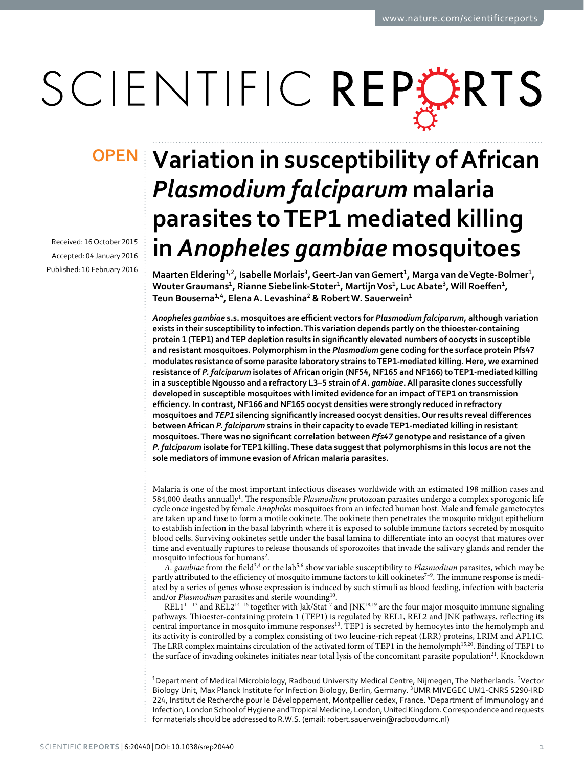# SCIENTIFIC REPERTS

Received: 16 October 2015 accepted: 04 January 2016 Published: 10 February 2016

## **Variation in susceptibility of African OPEN***Plasmodium falciparum* **malaria parasites to TEP1 mediated killing in** *Anopheles gambiae* **mosquitoes**

**Maarten Eldering1,<sup>2</sup>, Isabelle Morlais<sup>3</sup>, Geert-Jan van Gemert1, Marga van de Vegte-Bolmer1,**  Wouter Graumans<sup>1</sup>, Rianne Siebelink-Stoter<sup>1</sup>, Martijn Vos<sup>1</sup>, Luc Abate<sup>3</sup>, Will Roeffen<sup>1</sup>, **Teun Bousema1,<sup>4</sup>, ElenaA. Levashina<sup>2</sup> & RobertW. Sauerwein<sup>1</sup>**

*Anopheles gambiae* **s.s. mosquitoes are efficient vectors for** *Plasmodium falciparum***, although variation exists in their susceptibility to infection. This variation depends partly on the thioester-containing protein 1 (TEP1) and TEP depletion results in significantly elevated numbers of oocysts in susceptible and resistant mosquitoes. Polymorphism in the** *Plasmodium* **gene coding for the surface protein Pfs47 modulates resistance of some parasite laboratory strains to TEP1-mediated killing. Here, we examined resistance of** *P. falciparum* **isolates of African origin (NF54, NF165 and NF166) to TEP1-mediated killing in a susceptible Ngousso and a refractory L3–5 strain of** *A. gambiae***. All parasite clones successfully developed in susceptible mosquitoes with limited evidence for an impact of TEP1 on transmission efficiency. In contrast, NF166 and NF165 oocyst densities were strongly reduced in refractory mosquitoes and** *TEP1* **silencing significantly increased oocyst densities. Our results reveal differences between African** *P. falciparum* **strains in their capacity to evade TEP1-mediated killing in resistant mosquitoes. There was no significant correlation between** *Pfs47* **genotype and resistance of a given**  *P. falciparum* **isolate for TEP1 killing. These data suggest that polymorphisms in this locus are not the sole mediators of immune evasion of African malaria parasites.**

Malaria is one of the most important infectious diseases worldwide with an estimated 198 million cases and 584,000 deaths annually<sup>1</sup>. The responsible Plasmodium protozoan parasites undergo a complex sporogonic life cycle once ingested by female *Anopheles* mosquitoes from an infected human host. Male and female gametocytes are taken up and fuse to form a motile ookinete. The ookinete then penetrates the mosquito midgut epithelium to establish infection in the basal labyrinth where it is exposed to soluble immune factors secreted by mosquito blood cells. Surviving ookinetes settle under the basal lamina to differentiate into an oocyst that matures over time and eventually ruptures to release thousands of sporozoites that invade the salivary glands and render the mosquito infectious for humans<sup>[2](#page-5-1)</sup>.

*A. gambiae* from the fiel[d3](#page-5-2)[,4](#page-5-3) or the la[b5](#page-5-4),[6](#page-5-5) show variable susceptibility to *Plasmodium* parasites, which may be partly attributed to the efficiency of mosquito immune factors to kill ookinetes<sup>7-9</sup>. The immune response is mediated by a series of genes whose expression is induced by such stimuli as blood feeding, infection with bacteria and/or *Plasmodium* parasites and sterile wounding<sup>10</sup>.

 $REL1<sup>11–13</sup>$  and REL2<sup>14–16</sup> together with Jak/Stat<sup>17</sup> and JNK<sup>[18,](#page-5-11)19</sup> are the four major mosquito immune signaling pathways. Thioester-containing protein 1 (TEP1) is regulated by REL1, REL2 and JNK pathways, reflecting its central importance in mosquito immune response[s10.](#page-5-7) TEP1 is secreted by hemocytes into the hemolymph and its activity is controlled by a complex consisting of two leucine-rich repeat (LRR) proteins, LRIM and APL1C. The LRR complex maintains circulation of the activated form of TEP1 in the hemolymph[15,](#page-5-13)[20.](#page-5-14) Binding of TEP1 to the surface of invading ookinetes initiates near total lysis of the concomitant parasite population<sup>[21](#page-5-15)</sup>. Knockdown

<sup>1</sup>Department of Medical Microbiology, Radboud University Medical Centre, Nijmegen, The Netherlands. <sup>2</sup>Vector Biology Unit, Max Planck Institute for Infection Biology, Berlin, Germany. 3UMR MIVEGEC UM1-CNRS 5290-IRD 224, Institut de Recherche pour le Développement, Montpellier cedex, France. 4 Department of Immunology and Infection, London School of Hygiene and Tropical Medicine, London, United Kingdom. Correspondence and requests for materials should be addressed to R.W.S. (email: [robert.sauerwein@radboudumc.nl\)](mailto:robert.sauerwein@radboudumc.nl)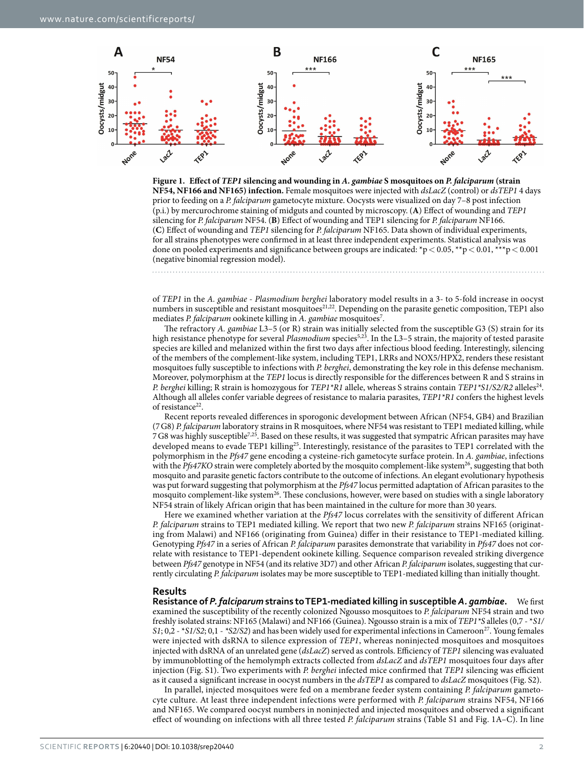

<span id="page-1-0"></span>

of *TEP1* in the *A. gambiae* - *Plasmodium berghei* laboratory model results in a 3- to 5-fold increase in oocyst numbers in susceptible and resistant mosquitoes<sup>[21](#page-5-15),[22](#page-6-0)</sup>. Depending on the parasite genetic composition, TEP1 also mediates P. falciparum ookinete killing in A. gambiae mosquitoes<sup>7</sup>.

The refractory *A. gambiae* L3–5 (or R) strain was initially selected from the susceptible G3 (S) strain for its high resistance phenotype for several *Plasmodium* species<sup>5,[23](#page-6-1)</sup>. In the L3–5 strain, the majority of tested parasite species are killed and melanized within the first two days after infectious blood feeding. Interestingly, silencing of the members of the complement-like system, including TEP1, LRRs and NOX5/HPX2, renders these resistant mosquitoes fully susceptible to infections with *P. berghei*, demonstrating the key role in this defense mechanism. Moreover, polymorphism at the *TEP1* locus is directly responsible for the differences between R and S strains in *P. berghei* killing; R strain is homozygous for *TEP1*\*R1 allele, whereas S strains contain *TEP1*\*S1/S2/R2 alleles<sup>24</sup>. Although all alleles confer variable degrees of resistance to malaria parasites, *TEP1\*R1* confers the highest levels of resistance<sup>[22](#page-6-0)</sup>.

Recent reports revealed differences in sporogonic development between African (NF54, GB4) and Brazilian (7G8) *P. falciparum* laboratory strains in R mosquitoes, where NF54 was resistant to TEP1 mediated killing, while 7G8 was highly susceptibl[e7](#page-5-6),[25](#page-6-3). Based on these results, it was suggested that sympatric African parasites may have developed means to evade TEP1 killing<sup>25</sup>. Interestingly, resistance of the parasites to TEP1 correlated with the polymorphism in the *Pfs47* gene encoding a cysteine-rich gametocyte surface protein. In *A. gambiae*, infections with the *Pfs47KO* strain were completely aborted by the mosquito complement-like system<sup>26</sup>, suggesting that both mosquito and parasite genetic factors contribute to the outcome of infections. An elegant evolutionary hypothesis was put forward suggesting that polymorphism at the *Pfs47* locus permitted adaptation of African parasites to the mosquito complement-like system<sup>26</sup>. These conclusions, however, were based on studies with a single laboratory NF54 strain of likely African origin that has been maintained in the culture for more than 30 years.

Here we examined whether variation at the *Pfs47* locus correlates with the sensitivity of different African *P. falciparum* strains to TEP1 mediated killing. We report that two new *P. falciparum* strains NF165 (originating from Malawi) and NF166 (originating from Guinea) differ in their resistance to TEP1-mediated killing. Genotyping *Pfs47* in a series of African *P. falciparum* parasites demonstrate that variability in *Pfs47* does not correlate with resistance to TEP1-dependent ookinete killing. Sequence comparison revealed striking divergence between *Pfs47* genotype in NF54 (and its relative 3D7) and other African *P. falciparum* isolates, suggesting that currently circulating *P. falciparum* isolates may be more susceptible to TEP1-mediated killing than initially thought.

#### **Results**

**Resistance of** *P. falciparum* **strains to TEP1-mediated killing in susceptible** *A. gambiae***.** We first examined the susceptibility of the recently colonized Ngousso mosquitoes to *P. falciparum* NF54 strain and two freshly isolated strains: NF165 (Malawi) and NF166 (Guinea). Ngousso strain is a mix of *TEP1\*S* alleles (0,7 - \**S1/ S1*; 0,2 - \**S1/S2*; 0,1 - *\*S2/S2*) and has been widely used for experimental infections in Cameroon[27](#page-6-5). Young females were injected with dsRNA to silence expression of *TEP1*, whereas noninjected mosquitoes and mosquitoes injected with dsRNA of an unrelated gene (*dsLacZ*) served as controls. Efficiency of *TEP1* silencing was evaluated by immunoblotting of the hemolymph extracts collected from *dsLacZ* and *dsTEP1* mosquitoes four days after injection (Fig. S1). Two experiments with *P. berghei* infected mice confirmed that *TEP1* silencing was efficient as it caused a significant increase in oocyst numbers in the *dsTEP1* as compared to *dsLacZ* mosquitoes (Fig. S2).

In parallel, injected mosquitoes were fed on a membrane feeder system containing *P. falciparum* gametocyte culture. At least three independent infections were performed with *P. falciparum* strains NF54, NF166 and NF165. We compared oocyst numbers in noninjected and injected mosquitoes and observed a significant effect of wounding on infections with all three tested *P. falciparum* strains (Table S1 and [Fig. 1A–C\)](#page-1-0). In line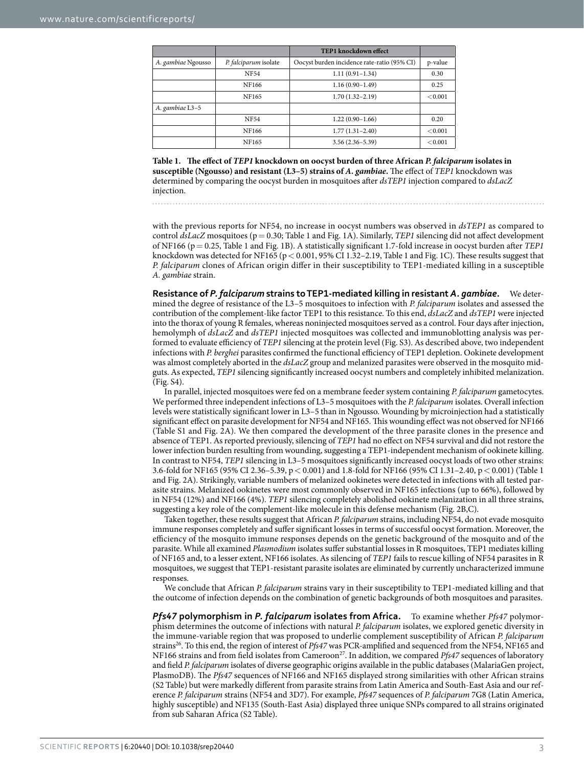<span id="page-2-0"></span>

|                    |                       | <b>TEP1</b> knockdown effect                |         |
|--------------------|-----------------------|---------------------------------------------|---------|
| A. gambiae Ngousso | P. falciparum isolate | Oocyst burden incidence rate-ratio (95% CI) | p-value |
|                    | <b>NF54</b>           | $1.11(0.91 - 1.34)$                         | 0.30    |
|                    | NF166                 | $1.16(0.90-1.49)$                           | 0.25    |
|                    | NF165                 | $1.70(1.32 - 2.19)$                         | < 0.001 |
| A. gambiae L3-5    |                       |                                             |         |
|                    | <b>NF54</b>           | $1.22(0.90-1.66)$                           | 0.20    |
|                    | NF166                 | $1.77(1.31 - 2.40)$                         | < 0.001 |
|                    | NF165                 | $3.56(2.36 - 5.39)$                         | < 0.001 |

**Table 1. The effect of** *TEP1* **knockdown on oocyst burden of three African** *P. falciparum* **isolates in susceptible (Ngousso) and resistant (L3–5) strains of** *A. gambiae***.** The effect of *TEP1* knockdown was determined by comparing the oocyst burden in mosquitoes after *dsTEP1* injection compared to *dsLacZ* injection.

with the previous reports for NF54, no increase in oocyst numbers was observed in *dsTEP1* as compared to control *dsLacZ* mosquitoes (p= 0.30; [Table 1](#page-2-0) and [Fig. 1A](#page-1-0)). Similarly, *TEP1* silencing did not affect development of NF166 (p= 0.25, [Table 1](#page-2-0) and [Fig. 1B\)](#page-1-0). A statistically significant 1.7-fold increase in oocyst burden after *TEP1* knockdown was detected for NF165 (p< 0.001, 95% CI 1.32–2.19, [Table 1](#page-2-0) and [Fig. 1C\)](#page-1-0). These results suggest that *P. falciparum* clones of African origin differ in their susceptibility to TEP1-mediated killing in a susceptible *A. gambiae* strain.

**Resistance of** *P. falciparum* **strains to TEP1-mediated killing in resistant** *A. gambiae***.** We determined the degree of resistance of the L3–5 mosquitoes to infection with *P. falciparum* isolates and assessed the contribution of the complement-like factor TEP1 to this resistance. To this end, *dsLacZ* and *dsTEP1* were injected into the thorax of young R females, whereas noninjected mosquitoes served as a control. Four days after injection, hemolymph of *dsLacZ* and *dsTEP1* injected mosquitoes was collected and immunoblotting analysis was performed to evaluate efficiency of *TEP1* silencing at the protein level (Fig. S3). As described above, two independent infections with *P. berghei* parasites confirmed the functional efficiency of TEP1 depletion. Ookinete development was almost completely aborted in the *dsLacZ* group and melanized parasites were observed in the mosquito midguts. As expected, *TEP1* silencing significantly increased oocyst numbers and completely inhibited melanization. (Fig. S4).

In parallel, injected mosquitoes were fed on a membrane feeder system containing *P. falciparum* gametocytes. We performed three independent infections of L3–5 mosquitoes with the *P. falciparum* isolates. Overall infection levels were statistically significant lower in L3–5 than in Ngousso. Wounding by microinjection had a statistically significant effect on parasite development for NF54 and NF165. This wounding effect was not observed for NF166 (Table S1 and [Fig. 2A](#page-3-0)). We then compared the development of the three parasite clones in the presence and absence of TEP1. As reported previously, silencing of *TEP1* had no effect on NF54 survival and did not restore the lower infection burden resulting from wounding, suggesting a TEP1-independent mechanism of ookinete killing. In contrast to NF54, *TEP1* silencing in L3–5 mosquitoes significantly increased oocyst loads of two other strains: 3.6-fold for NF165 (95% CI 2.36–5.39, p< 0.001) and 1.8-fold for NF166 (95% CI 1.31–2.40, p< 0.001) [\(Table 1](#page-2-0)  and [Fig. 2A\)](#page-3-0). Strikingly, variable numbers of melanized ookinetes were detected in infections with all tested parasite strains. Melanized ookinetes were most commonly observed in NF165 infections (up to 66%), followed by in NF54 (12%) and NF166 (4%). *TEP1* silencing completely abolished ookinete melanization in all three strains, suggesting a key role of the complement-like molecule in this defense mechanism [\(Fig. 2](#page-3-0)B,C).

Taken together, these results suggest that African *P. falciparum* strains, including NF54, do not evade mosquito immune responses completely and suffer significant losses in terms of successful oocyst formation. Moreover, the efficiency of the mosquito immune responses depends on the genetic background of the mosquito and of the parasite. While all examined *Plasmodium* isolates suffer substantial losses in R mosquitoes, TEP1 mediates killing of NF165 and, to a lesser extent, NF166 isolates. As silencing of *TEP1* fails to rescue killing of NF54 parasites in R mosquitoes, we suggest that TEP1-resistant parasite isolates are eliminated by currently uncharacterized immune responses.

We conclude that African *P. falciparum* strains vary in their susceptibility to TEP1-mediated killing and that the outcome of infection depends on the combination of genetic backgrounds of both mosquitoes and parasites.

*Pfs47* **polymorphism in** *P. falciparum* **isolates from Africa.** To examine whether *Pfs47* polymorphism determines the outcome of infections with natural *P. falciparum* isolates, we explored genetic diversity in the immune-variable region that was proposed to underlie complement susceptibility of African *P. falciparum* strains<sup>26</sup>. To this end, the region of interest of *Pfs47* was PCR-amplified and sequenced from the NF54, NF165 and NF166 strains and from field isolates from Cameroon<sup>27</sup>. In addition, we compared *Pfs47* sequences of laboratory and field *P. falciparum* isolates of diverse geographic origins available in the public databases (MalariaGen project, PlasmoDB). The *Pfs47* sequences of NF166 and NF165 displayed strong similarities with other African strains (S2 Table) but were markedly different from parasite strains from Latin America and South-East Asia and our reference *P. falciparum* strains (NF54 and 3D7). For example, *Pfs47* sequences of *P. falciparum* 7G8 (Latin America, highly susceptible) and NF135 (South-East Asia) displayed three unique SNPs compared to all strains originated from sub Saharan Africa (S2 Table).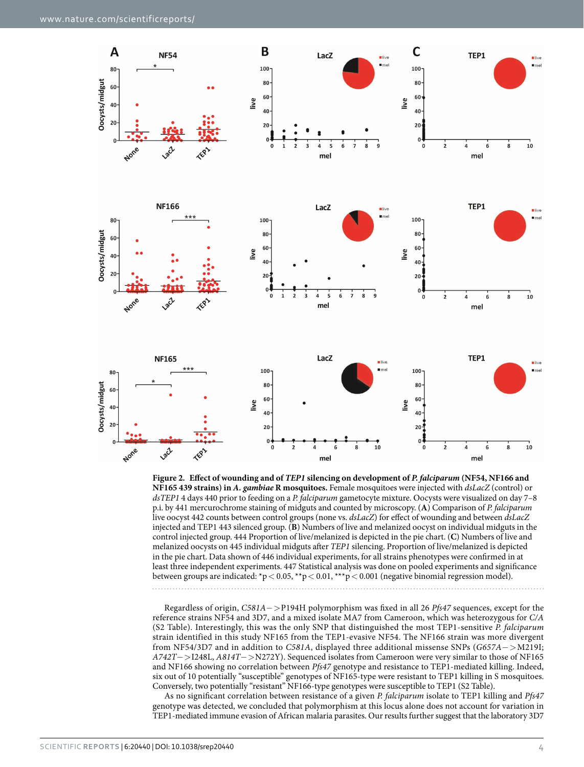

<span id="page-3-0"></span>

Regardless of origin, *C581A*−>P194H polymorphism was fixed in all 26 *Pfs47* sequences, except for the reference strains NF54 and 3D7, and a mixed isolate MA7 from Cameroon, which was heterozygous for *C/A* (S2 Table). Interestingly, this was the only SNP that distinguished the most TEP1-sensitive *P. falciparum* strain identified in this study NF165 from the TEP1-evasive NF54. The NF166 strain was more divergent from NF54/3D7 and in addition to *C581A*, displayed three additional missense SNPs (*G657A*−>M219I; *A742T*−>I248L, *A814T*−>N272Y). Sequenced isolates from Cameroon were very similar to those of NF165 and NF166 showing no correlation between *Pfs47* genotype and resistance to TEP1-mediated killing. Indeed, six out of 10 potentially "susceptible" genotypes of NF165-type were resistant to TEP1 killing in S mosquitoes. Conversely, two potentially "resistant" NF166-type genotypes were susceptible to TEP1 (S2 Table).

As no significant correlation between resistance of a given *P. falciparum* isolate to TEP1 killing and *Pfs47* genotype was detected, we concluded that polymorphism at this locus alone does not account for variation in TEP1-mediated immune evasion of African malaria parasites. Our results further suggest that the laboratory 3D7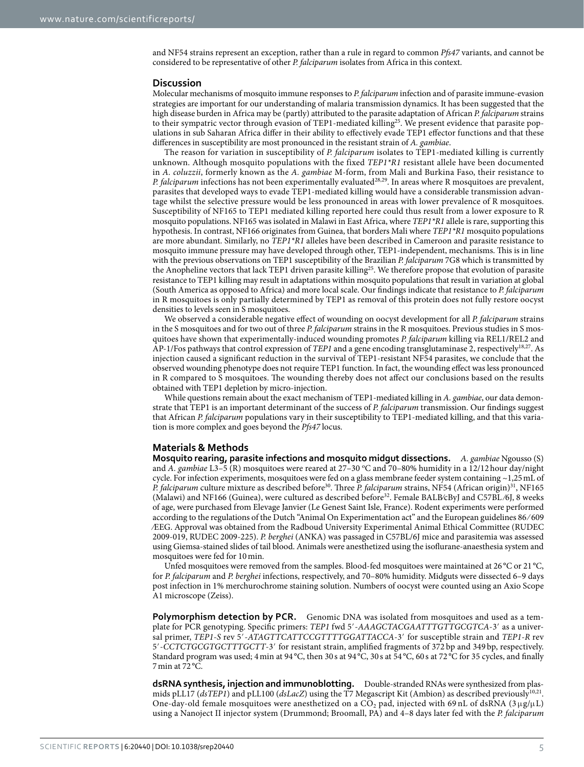and NF54 strains represent an exception, rather than a rule in regard to common *Pfs47* variants, and cannot be considered to be representative of other *P. falciparum* isolates from Africa in this context.

#### **Discussion**

Molecular mechanisms of mosquito immune responses to *P. falciparum* infection and of parasite immune-evasion strategies are important for our understanding of malaria transmission dynamics. It has been suggested that the high disease burden in Africa may be (partly) attributed to the parasite adaptation of African *P. falciparum* strains to their sympatric vector through evasion of TEP1-mediated killing<sup>[25](#page-6-3)</sup>. We present evidence that parasite populations in sub Saharan Africa differ in their ability to effectively evade TEP1 effector functions and that these differences in susceptibility are most pronounced in the resistant strain of *A. gambiae*.

The reason for variation in susceptibility of *P. falciparum* isolates to TEP1-mediated killing is currently unknown. Although mosquito populations with the fixed *TEP1\*R1* resistant allele have been documented in *A. coluzzii*, formerly known as the *A. gambiae* M-form, from Mali and Burkina Faso, their resistance to *P. falciparum* infections has not been experimentally evaluated<sup>28,29</sup>. In areas where R mosquitoes are prevalent, parasites that developed ways to evade TEP1-mediated killing would have a considerable transmission advantage whilst the selective pressure would be less pronounced in areas with lower prevalence of R mosquitoes. Susceptibility of NF165 to TEP1 mediated killing reported here could thus result from a lower exposure to R mosquito populations. NF165 was isolated in Malawi in East Africa, where *TEP1\*R1* allele is rare, supporting this hypothesis. In contrast, NF166 originates from Guinea, that borders Mali where *TEP1\*R1* mosquito populations are more abundant. Similarly, no *TEP1\*R1* alleles have been described in Cameroon and parasite resistance to mosquito immune pressure may have developed through other, TEP1-independent, mechanisms. This is in line with the previous observations on TEP1 susceptibility of the Brazilian *P. falciparum* 7G8 which is transmitted by the Anopheline vectors that lack TEP1 driven parasite killing<sup>25</sup>. We therefore propose that evolution of parasite resistance to TEP1 killing may result in adaptations within mosquito populations that result in variation at global (South America as opposed to Africa) and more local scale. Our findings indicate that resistance to *P. falciparum* in R mosquitoes is only partially determined by TEP1 as removal of this protein does not fully restore oocyst densities to levels seen in S mosquitoes.

We observed a considerable negative effect of wounding on oocyst development for all *P. falciparum* strains in the S mosquitoes and for two out of three *P. falciparum* strains in the R mosquitoes. Previous studies in S mosquitoes have shown that experimentally-induced wounding promotes *P. falciparum* killing via REL1/REL2 and AP-1/Fos pathways that control expression of *TEP1* and a gene encoding transglutaminase 2, respectively[18](#page-5-11),[27](#page-6-5). As injection caused a significant reduction in the survival of TEP1-resistant NF54 parasites, we conclude that the observed wounding phenotype does not require TEP1 function. In fact, the wounding effect was less pronounced in R compared to S mosquitoes. The wounding thereby does not affect our conclusions based on the results obtained with TEP1 depletion by micro-injection.

While questions remain about the exact mechanism of TEP1-mediated killing in *A. gambiae*, our data demonstrate that TEP1 is an important determinant of the success of *P. falciparum* transmission. Our findings suggest that African *P. falciparum* populations vary in their susceptibility to TEP1-mediated killing, and that this variation is more complex and goes beyond the *Pfs47* locus.

#### **Materials & Methods**

**Mosquito rearing, parasite infections and mosquito midgut dissections.** *A. gambiae* Ngousso (S) and *A. gambiae* L3-5 (R) mosquitoes were reared at 27-30 °C and 70-80% humidity in a 12/12 hour day/night cycle. For infection experiments, mosquitoes were fed on a glass membrane feeder system containing ~1,25mL of *P. falciparum* culture mixture as described before<sup>30</sup>. Three *P. falciparum* strains, NF54 (African origin)<sup>31</sup>, NF165 (Malawi) and NF166 (Guinea), were cultured as described before<sup>[32](#page-6-10)</sup>. Female BALB/cByJ and C57BL/6J, 8 weeks of age, were purchased from Elevage Janvier (Le Genest Saint Isle, France). Rodent experiments were performed according to the regulations of the Dutch "Animal On Experimentation act" and the European guidelines 86 ⁄ 609 ⁄EEG. Approval was obtained from the Radboud University Experimental Animal Ethical Committee (RUDEC 2009-019, RUDEC 2009-225). *P. berghei* (ANKA) was passaged in C57BL/6J mice and parasitemia was assessed using Giemsa-stained slides of tail blood. Animals were anesthetized using the isoflurane-anaesthesia system and mosquitoes were fed for 10min.

Unfed mosquitoes were removed from the samples. Blood-fed mosquitoes were maintained at 26 °C or 21 °C, for *P. falciparum* and *P. berghei* infections, respectively, and 70–80% humidity. Midguts were dissected 6–9 days post infection in 1% merchurochrome staining solution. Numbers of oocyst were counted using an Axio Scope A1 microscope (Zeiss).

**Polymorphism detection by PCR.** Genomic DNA was isolated from mosquitoes and used as a template for PCR genotyping. Specific primers: *TEP1* fwd 5′-*AAAGCTACGAATTTGTTGCGTCA*-3′ as a universal primer, *TEP1-S* rev 5′-*ATAGTTCATTCCGTTTTGGATTACCA*-3′ for susceptible strain and *TEP1-R* rev 5′-*CCTCTGCGTGCTTTGCTT*-3′ for resistant strain, amplified fragments of 372 bp and 349 bp, respectively. Standard program was used; 4 min at 94 °C, then 30 s at 94 °C, 30 s at 54 °C, 60 s at 72 °C for 35 cycles, and finally 7min at 72 °C.

**dsRNA synthesis, injection and immunoblotting.** Double-stranded RNAs were synthesized from plasmids pLL17 (*dsTEP1*) and pLL100 (*dsLacZ*) using the T7 Megascript Kit (Ambion) as described previously<sup>[10,](#page-5-7)21</sup>. One-day-old female mosquitoes were anesthetized on a CO<sub>2</sub> pad, injected with 69 nL of dsRNA ( $3 \mu$ g/ $\mu$ L) using a Nanoject II injector system (Drummond; Broomall, PA) and 4–8 days later fed with the *P. falciparum*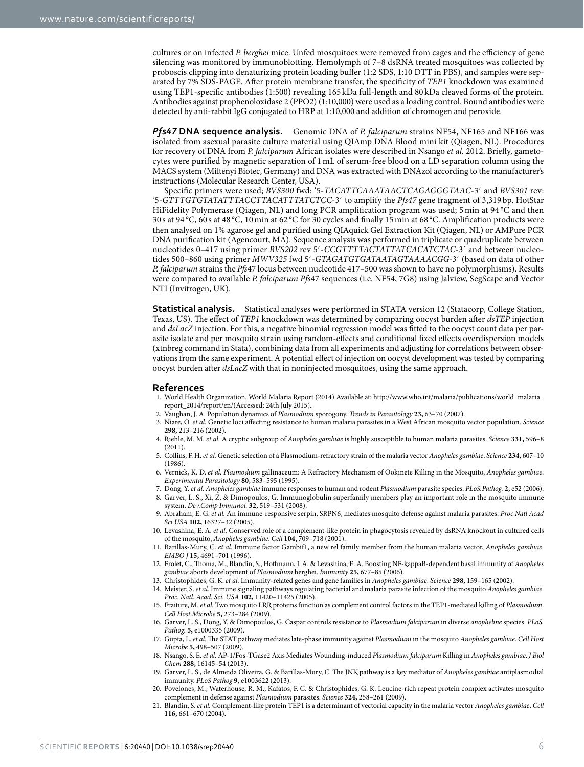cultures or on infected *P. berghei* mice. Unfed mosquitoes were removed from cages and the efficiency of gene silencing was monitored by immunoblotting. Hemolymph of 7–8 dsRNA treated mosquitoes was collected by proboscis clipping into denaturizing protein loading buffer (1:2 SDS, 1:10 DTT in PBS), and samples were separated by 7% SDS-PAGE. After protein membrane transfer, the specificity of *TEP1* knockdown was examined using TEP1-specific antibodies (1:500) revealing 165 kDa full-length and 80 kDa cleaved forms of the protein. Antibodies against prophenoloxidase 2 (PPO2) (1:10,000) were used as a loading control. Bound antibodies were detected by anti-rabbit IgG conjugated to HRP at 1:10,000 and addition of chromogen and peroxide.

*Pfs47* **DNA sequence analysis.** Genomic DNA of *P. falciparum* strains NF54, NF165 and NF166 was isolated from asexual parasite culture material using QIAmp DNA Blood mini kit (Qiagen, NL). Procedures for recovery of DNA from *P. falciparum* African isolates were described in Nsango *et al.* 2012. Briefly, gametocytes were purified by magnetic separation of 1 mL of serum-free blood on a LD separation column using the MACS system (Miltenyi Biotec, Germany) and DNA was extracted with DNAzol according to the manufacturer's instructions (Molecular Research Center, USA).

Specific primers were used; *BVS300* fwd: '5-*TACATTCAAATAACTCAGAGGGTAAC*-3′ and *BVS301* rev: '5-*GTTTGTGTATATTTACCTTACATTTATCTCC*-3′ to amplify the *Pfs47* gene fragment of 3,319 bp. HotStar HiFidelity Polymerase (Qiagen, NL) and long PCR amplification program was used; 5min at 94 °C and then 30 s at 94 °C, 60 s at 48 °C, 10min at 62 °C for 30 cycles and finally 15min at 68 °C. Amplification products were then analysed on 1% agarose gel and purified using QIAquick Gel Extraction Kit (Qiagen, NL) or AMPure PCR DNA purification kit (Agencourt, MA). Sequence analysis was performed in triplicate or quadruplicate between nucleotides 0–417 using primer *BVS202* rev 5′-*CCGTTTTACTATTATCACATCTAC*-3′ and between nucleotides 500–860 using primer *MWV325* fwd 5′-*GTAGATGTGATAATAGTAAAACGG*-3′ (based on data of other *P. falciparum* strains the *Pfs*47 locus between nucleotide 417–500 was shown to have no polymorphisms). Results were compared to available *P. falciparum Pfs*47 sequences (i.e. NF54, 7G8) using Jalview, SegScape and Vector NTI (Invitrogen, UK).

**Statistical analysis.** Statistical analyses were performed in STATA version 12 (Statacorp, College Station, Texas, US). The effect of *TEP1* knockdown was determined by comparing oocyst burden after *dsTEP* injection and *dsLacZ* injection. For this, a negative binomial regression model was fitted to the oocyst count data per parasite isolate and per mosquito strain using random-effects and conditional fixed effects overdispersion models (xtnbreg command in Stata), combining data from all experiments and adjusting for correlations between observations from the same experiment. A potential effect of injection on oocyst development was tested by comparing oocyst burden after *dsLacZ* with that in noninjected mosquitoes, using the same approach.

#### **References**

- <span id="page-5-0"></span>1. World Health Organization. World Malaria Report (2014) Available at: [http://www.who.int/malaria/publications/world\\_malaria\\_](http://www.who.int/malaria/publications/world_malaria_report_2014/report/en/) [report\\_2014/report/en/](http://www.who.int/malaria/publications/world_malaria_report_2014/report/en/)(Accessed: 24th July 2015).
- <span id="page-5-1"></span>2. Vaughan, J. A. Population dynamics of *Plasmodium* sporogony. *Trends in Parasitology* **23,** 63–70 (2007).
- <span id="page-5-2"></span>3. Niare, O. *et al.* Genetic loci affecting resistance to human malaria parasites in a West African mosquito vector population. *Science* **298,** 213–216 (2002).
- <span id="page-5-3"></span>4. Riehle, M. M. *et al.* A cryptic subgroup of *Anopheles gambiae* is highly susceptible to human malaria parasites. *Science* **331,** 596–8 (2011).
- <span id="page-5-4"></span>5. Collins, F. H. *et al.* Genetic selection of a Plasmodium-refractory strain of the malaria vector *Anopheles gambiae*. *Science* **234,** 607–10 (1986).
- <span id="page-5-5"></span>6. Vernick, K. D. *et al. Plasmodium* gallinaceum: A Refractory Mechanism of Ookinete Killing in the Mosquito, *Anopheles gambiae*. *Experimental Parasitology* **80,** 583–595 (1995).
- <span id="page-5-6"></span>7. Dong, Y. *et al. Anopheles gambiae* immune responses to human and rodent *Plasmodium* parasite species. *PLoS.Pathog.* **2,** e52 (2006).
- 8. Garver, L. S., Xi, Z. & Dimopoulos, G. Immunoglobulin superfamily members play an important role in the mosquito immune system. *Dev.Comp Immunol.* **32,** 519–531 (2008).
- 9. Abraham, E. G. *et al.* An immune-responsive serpin, SRPN6, mediates mosquito defense against malaria parasites. *Proc Natl Acad Sci USA* **102,** 16327–32 (2005).
- <span id="page-5-7"></span>10. Levashina, E. A. *et al.* Conserved role of a complement-like protein in phagocytosis revealed by dsRNA knockout in cultured cells of the mosquito, *Anopheles gambiae*. *Cell* **104,** 709–718 (2001).
- <span id="page-5-8"></span>11. Barillas-Mury, C. *et al.* Immune factor Gambif1, a new rel family member from the human malaria vector, *Anopheles gambiae*. *EMBO J* **15,** 4691–701 (1996).
- 12. Frolet, C., Thoma, M., Blandin, S., Hoffmann, J. A. & Levashina, E. A. Boosting NF-kappaB-dependent basal immunity of *Anopheles gambiae* aborts development of *Plasmodium* berghei. *Immunity* **25,** 677–85 (2006).
- 13. Christophides, G. K. *et al.* Immunity-related genes and gene families in *Anopheles gambiae*. *Science* **298,** 159–165 (2002).
- <span id="page-5-9"></span>14. Meister, S. *et al.* Immune signaling pathways regulating bacterial and malaria parasite infection of the mosquito *Anopheles gambiae*. *Proc. Natl. Acad. Sci. USA* **102,** 11420–11425 (2005).
- <span id="page-5-13"></span>15. Fraiture, M. *et al.* Two mosquito LRR proteins function as complement control factors in the TEP1-mediated killing of *Plasmodium*. *Cell Host.Microbe* **5,** 273–284 (2009).
- 16. Garver, L. S., Dong, Y. & Dimopoulos, G. Caspar controls resistance to *Plasmodium falciparum* in diverse *anopheline* species. *PLoS. Pathog.* **5,** e1000335 (2009).
- <span id="page-5-10"></span>17. Gupta, L. *et al.* The STAT pathway mediates late-phase immunity against *Plasmodium* in the mosquito *Anopheles gambiae*. *Cell Host Microbe* **5,** 498–507 (2009).
- <span id="page-5-11"></span>18. Nsango, S. E. *et al.* AP-1/Fos-TGase2 Axis Mediates Wounding-induced *Plasmodium falciparum* Killing in *Anopheles gambiae*. *J Biol Chem* **288,** 16145–54 (2013).
- <span id="page-5-12"></span>19. Garver, L. S., de Almeida Oliveira, G. & Barillas-Mury, C. The JNK pathway is a key mediator of *Anopheles gambiae* antiplasmodial immunity. *PLoS Pathog* **9,** e1003622 (2013).
- <span id="page-5-14"></span>20. Povelones, M., Waterhouse, R. M., Kafatos, F. C. & Christophides, G. K. Leucine-rich repeat protein complex activates mosquito complement in defense against *Plasmodium* parasites. *Science* **324,** 258–261 (2009).
- <span id="page-5-15"></span>21. Blandin, S. *et al.* Complement-like protein TEP1 is a determinant of vectorial capacity in the malaria vector *Anopheles gambiae*. *Cell* **116,** 661–670 (2004).